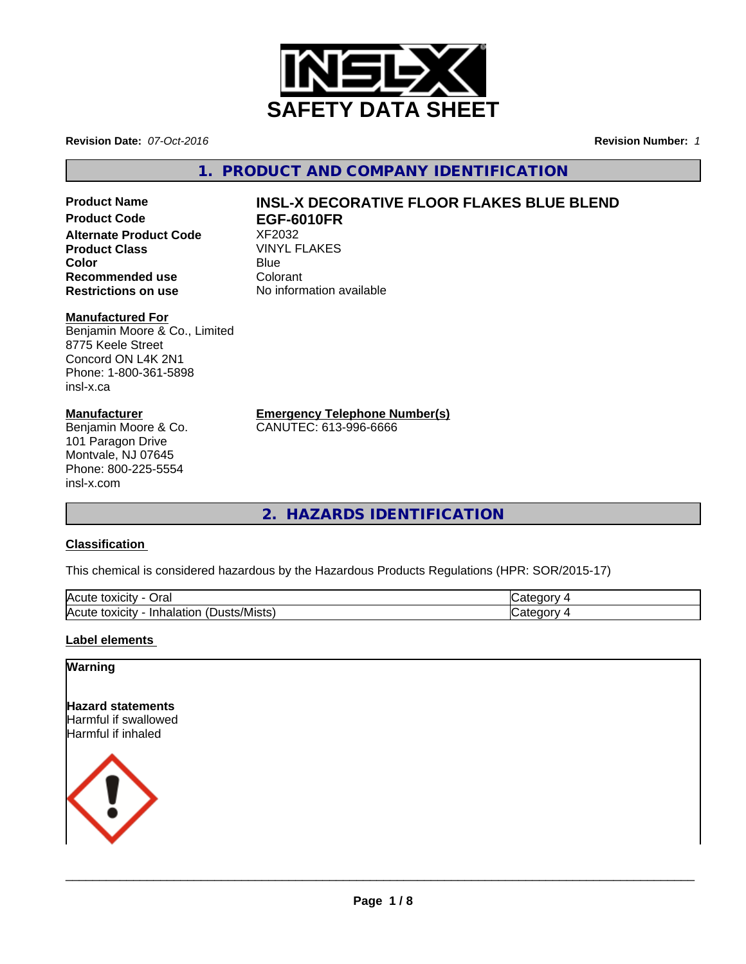

**Revision Date:** *07-Oct-2016* **Revision Number:** *1*

**1. PRODUCT AND COMPANY IDENTIFICATION**

**Alternate Product Code 8 XF2032<br>
<b>Product Class** WINYL FLAKES **Product Class** VINY<br> **Color** Blue **Color** Blue Blue **Recommended use Colorant**<br> **Restrictions on use Colorant** No information available **Restrictions on use** 

#### **Manufactured For**

Benjamin Moore & Co., Limited 8775 Keele Street Concord ON L4K 2N1 Phone: 1-800-361-5898 insl-x.ca

#### **Manufacturer**

Benjamin Moore & Co. 101 Paragon Drive Montvale, NJ 07645 Phone: 800-225-5554 insl-x.com

# Product Name<br> **Product Code**<br> **Product Code**<br> **Product Code**<br> **INSL-X DECORATIVE FLOOR FLAKES BLUE BLEND Product Code EGF-6010FR**

**Emergency Telephone Number(s)**

CANUTEC: 613-996-6666

**2. HAZARDS IDENTIFICATION**

### **Classification**

This chemical is considered hazardous by the Hazardous Products Regulations (HPR: SOR/2015-17)

| <b>IAC</b><br>Oral<br><b>IOXICIT</b><br>ע ו                                      | - -      |
|----------------------------------------------------------------------------------|----------|
| $\blacksquare$<br>lAcı<br>∵/Mists<br>Inhalation<br>toxicity<br><b>ust</b><br>. . | ж<br>. . |

#### **Label elements**

#### **Warning**

**Hazard statements** Harmful if swallowed Harmful if inhaled



 $\overline{\phantom{a}}$  ,  $\overline{\phantom{a}}$  ,  $\overline{\phantom{a}}$  ,  $\overline{\phantom{a}}$  ,  $\overline{\phantom{a}}$  ,  $\overline{\phantom{a}}$  ,  $\overline{\phantom{a}}$  ,  $\overline{\phantom{a}}$  ,  $\overline{\phantom{a}}$  ,  $\overline{\phantom{a}}$  ,  $\overline{\phantom{a}}$  ,  $\overline{\phantom{a}}$  ,  $\overline{\phantom{a}}$  ,  $\overline{\phantom{a}}$  ,  $\overline{\phantom{a}}$  ,  $\overline{\phantom{a}}$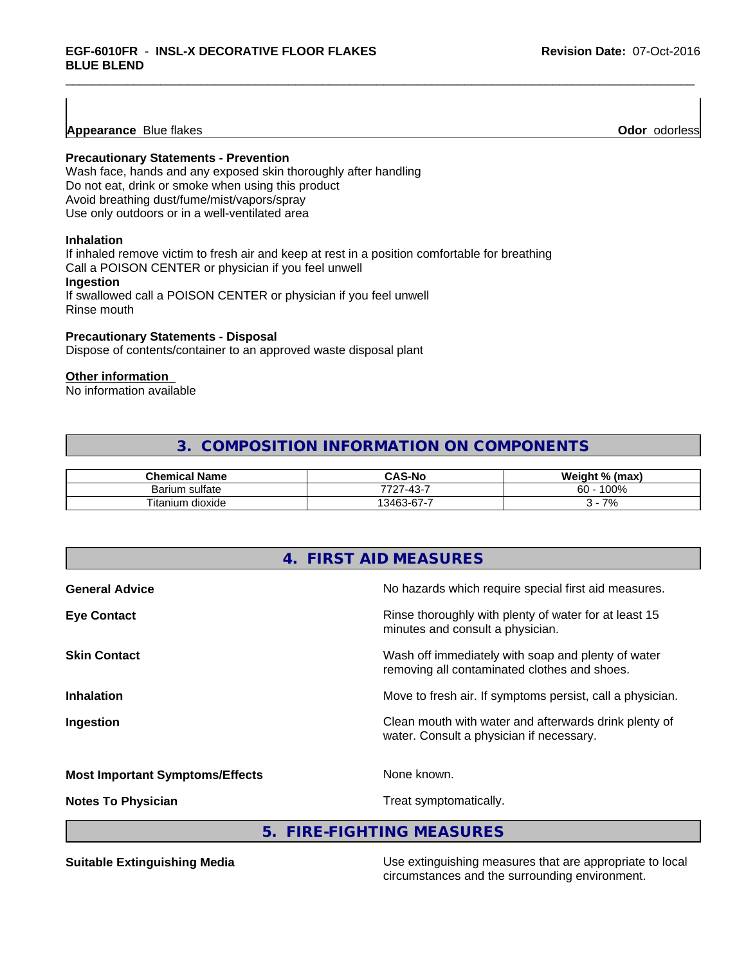**Appearance** Blue flakes **Odor** *Odor**Odor**Odor**Odor**Odor**Odor**Odor**Odor**Odor**Odor**Odor**Odor**Odor**Odor**Odor**Odor**Odor**Odor**Odor**Odor**Odor**Odor**Odor**Odor**Odor**Odor**Odor**O* 

#### **Precautionary Statements - Prevention**

Wash face, hands and any exposed skin thoroughly after handling Do not eat, drink or smoke when using this product Avoid breathing dust/fume/mist/vapors/spray Use only outdoors or in a well-ventilated area

#### **Inhalation**

If inhaled remove victim to fresh air and keep at rest in a position comfortable for breathing Call a POISON CENTER or physician if you feel unwell **Ingestion**

If swallowed call a POISON CENTER or physician if you feel unwell Rinse mouth

#### **Precautionary Statements - Disposal**

Dispose of contents/container to an approved waste disposal plant

#### **Other information**

No information available

# **3. COMPOSITION INFORMATION ON COMPONENTS**

| <b>Chemical Name</b>      | <b>CAS-No</b>                                                     | Weight % (max) |
|---------------------------|-------------------------------------------------------------------|----------------|
| Barium sulfate            | 13.<br>-<br>フフハ<br>$\sim$<br>− ∪<br>.                             | 100%<br>60     |
| Titaniu<br>dioxide<br>յum | -<br>$\sim$<br>$\sqrt{2}$<br>$\overline{\phantom{0}}$<br>346<br>v | 70/<br>70      |

| No hazards which require special first aid measures.                                               |
|----------------------------------------------------------------------------------------------------|
| Rinse thoroughly with plenty of water for at least 15<br>minutes and consult a physician.          |
| Wash off immediately with soap and plenty of water<br>removing all contaminated clothes and shoes. |
| Move to fresh air. If symptoms persist, call a physician.                                          |
| Clean mouth with water and afterwards drink plenty of<br>water. Consult a physician if necessary.  |
| None known.                                                                                        |
| Treat symptomatically.                                                                             |
|                                                                                                    |

**5. FIRE-FIGHTING MEASURES**

**Suitable Extinguishing Media** Media Use extinguishing measures that are appropriate to local circumstances and the surrounding environment.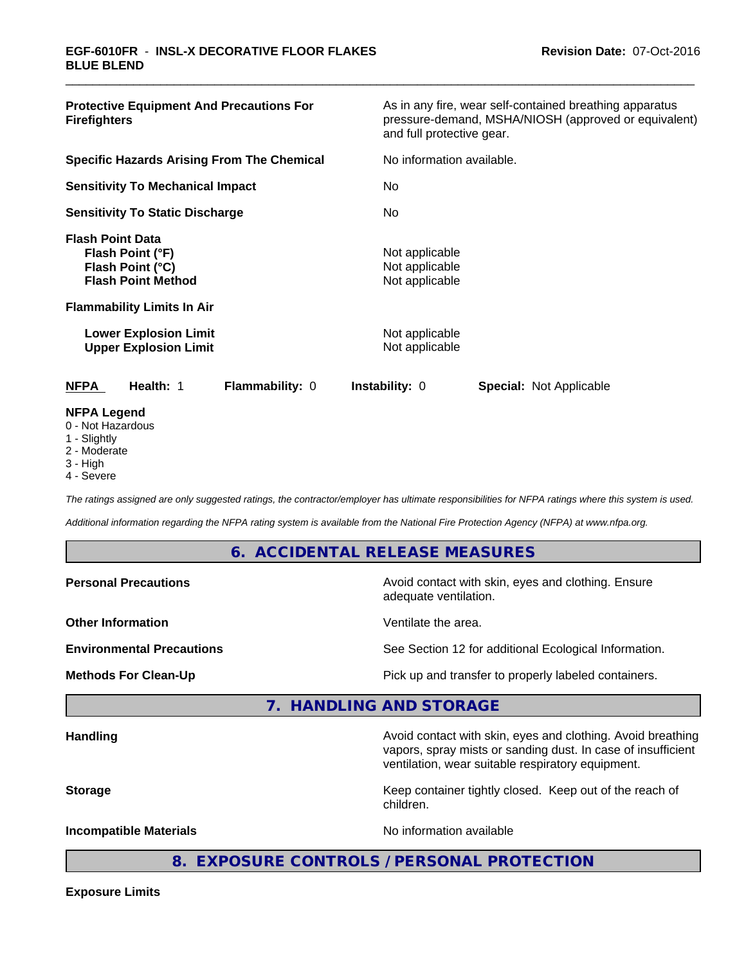| <b>Protective Equipment And Precautions For</b><br><b>Firefighters</b>                                                                                                                            | As in any fire, wear self-contained breathing apparatus<br>pressure-demand, MSHA/NIOSH (approved or equivalent)<br>and full protective gear. |  |  |
|---------------------------------------------------------------------------------------------------------------------------------------------------------------------------------------------------|----------------------------------------------------------------------------------------------------------------------------------------------|--|--|
| <b>Specific Hazards Arising From The Chemical</b>                                                                                                                                                 | No information available.                                                                                                                    |  |  |
| <b>Sensitivity To Mechanical Impact</b>                                                                                                                                                           | No.                                                                                                                                          |  |  |
| <b>Sensitivity To Static Discharge</b>                                                                                                                                                            | No.                                                                                                                                          |  |  |
| <b>Flash Point Data</b><br>Flash Point (°F)<br>Flash Point (°C)<br><b>Flash Point Method</b><br><b>Flammability Limits In Air</b><br><b>Lower Explosion Limit</b><br><b>Upper Explosion Limit</b> | Not applicable<br>Not applicable<br>Not applicable<br>Not applicable<br>Not applicable                                                       |  |  |
| Flammability: 0<br><b>NFPA</b><br><b>Health: 1</b>                                                                                                                                                | <b>Instability: 0</b><br><b>Special: Not Applicable</b>                                                                                      |  |  |
| <b>NFPA Legend</b><br>0 - Not Hazardous<br>1 - Slightly                                                                                                                                           |                                                                                                                                              |  |  |

- 2 Moderate
- 3 High
- 4 Severe

*The ratings assigned are only suggested ratings, the contractor/employer has ultimate responsibilities for NFPA ratings where this system is used.*

*Additional information regarding the NFPA rating system is available from the National Fire Protection Agency (NFPA) at www.nfpa.org.*

#### **6. ACCIDENTAL RELEASE MEASURES**

| <b>Personal Precautions</b>      | Avoid contact with skin, eyes and clothing. Ensure<br>adequate ventilation.                                                 |
|----------------------------------|-----------------------------------------------------------------------------------------------------------------------------|
| <b>Other Information</b>         | Ventilate the area.                                                                                                         |
| <b>Environmental Precautions</b> | See Section 12 for additional Ecological Information.                                                                       |
| <b>Methods For Clean-Up</b>      | Pick up and transfer to properly labeled containers.                                                                        |
|                                  | 7. HANDLING AND STORAGE                                                                                                     |
| <b>Handling</b>                  | Avoid contact with skin, eyes and clothing. Avoid breathing<br>vapors, spray mists or sanding dust. In case of insufficient |

**Storage** Keep container tightly closed. Keep out of the reach of

children.

ventilation, wear suitable respiratory equipment.

**Incompatible Materials Incompatible Materials No information available** 

**8. EXPOSURE CONTROLS / PERSONAL PROTECTION**

**Exposure Limits**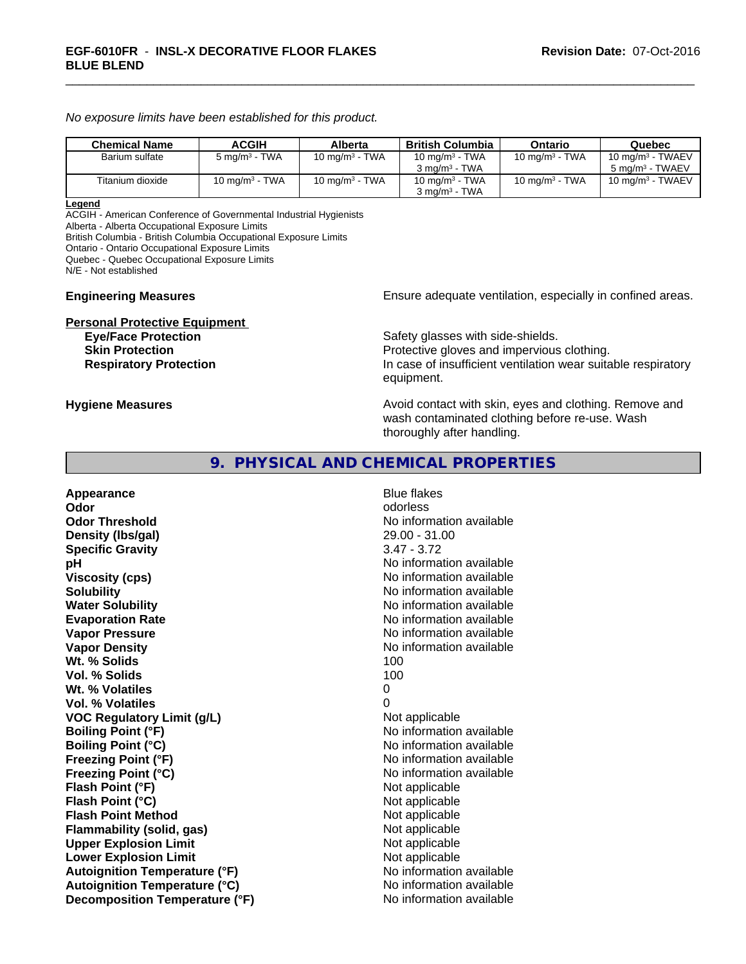*No exposure limits have been established for this product.*

| <b>Chemical Name</b> | <b>ACGIH</b>             | Alberta                    | British Columbia                                       | Ontario           | Quebec                                             |
|----------------------|--------------------------|----------------------------|--------------------------------------------------------|-------------------|----------------------------------------------------|
| Barium sulfate       | $5 \text{ mg/m}^3$ - TWA | 10 mg/m <sup>3</sup> - TWA | 10 mg/m <sup>3</sup> - TWA<br>$3 \text{ ma/m}^3$ - TWA | 10 mg/m $3$ - TWA | 10 mg/m $3$ - TWAEV<br>5 mg/m <sup>3</sup> - TWAEV |
| Titanium dioxide     | 10 mg/m $3$ - TWA        | 10 mg/m $3$ - TWA          | 10 mg/m $3$ - TWA<br>$3 \text{ ma/m}^3$ - TWA          | 10 mg/m $3$ - TWA | 10 mg/m $3$ - TWAEV                                |

#### **Legend**

ACGIH - American Conference of Governmental Industrial Hygienists Alberta - Alberta Occupational Exposure Limits

British Columbia - British Columbia Occupational Exposure Limits

Ontario - Ontario Occupational Exposure Limits

Quebec - Quebec Occupational Exposure Limits

N/E - Not established

# **Personal Protective Equipment**

**Engineering Measures Ensure adequate ventilation, especially in confined areas.** 

Safety glasses with side-shields. **Skin Protection Protection Protective gloves and impervious clothing. Respiratory Protection In case of insufficient ventilation wear suitable respiratory** equipment.

**Hygiene Measures Avoid contact with skin, eyes and clothing. Remove and Avoid contact with skin, eyes and clothing. Remove and Avoid contact with skin, eyes and clothing. Remove and** wash contaminated clothing before re-use. Wash thoroughly after handling.

## **9. PHYSICAL AND CHEMICAL PROPERTIES**

**Appearance** Blue flakes **Odor** odorless **Odor Threshold No information available** No information available **Density (lbs/gal)** 29.00 - 31.00 **Specific Gravity** 3.47 - 3.72 **pH pH**  $\blacksquare$ **Viscosity (cps)** No information available **Solubility No information available No information available Water Solubility No information available No information available Evaporation Rate No information available No information available Vapor Pressure** No information available **Vapor Density No information available No information available Wt. % Solids** 100 **Vol. % Solids** 100 Wt. % Volatiles 0 **Vol. % Volatiles** 0 **VOC Regulatory Limit (g/L)** Not applicable **Boiling Point (°F)** No information available **Boiling Point (°C)** No information available **Freezing Point (°F)** No information available **Freezing Point (°C)** The state of the Mondo No information available **Flash Point (°F)** Not applicable **Flash Point (°C)** Not applicable **Flash Point Method** Not applicable **Flammability (solid, gas)** Not applicable **Upper Explosion Limit** Not applicable **Lower Explosion Limit Contract Accord Accord Accord Accord Accord Accord Accord Accord Accord Accord Accord Accord Accord Accord Accord Accord Accord Accord Accord Accord Accord Accord Accord Accord Accord Accord Accord Autoignition Temperature (°F)** No information available **Autoignition Temperature (°C)** No information available **Decomposition Temperature (°F)** No information available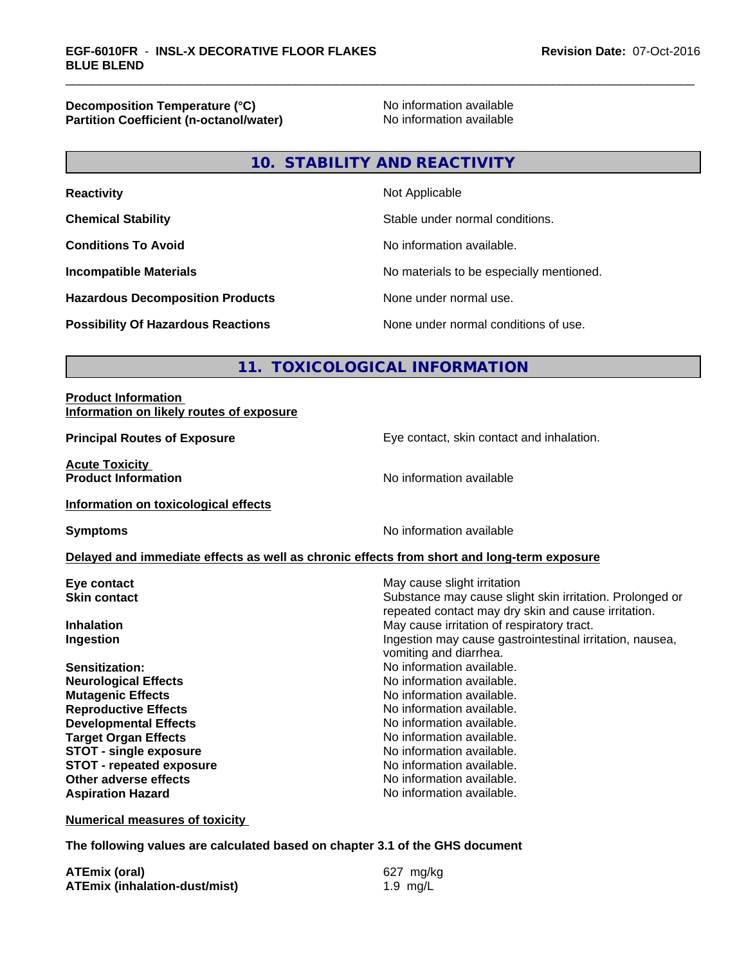**Decomposition Temperature (°C)**<br> **Partition Coefficient (n-octanol/water)** No information available **Partition Coefficient (n-octanol/water)** 

# **10. STABILITY AND REACTIVITY**

| <b>Reactivity</b>                         | Not Applicable                           |
|-------------------------------------------|------------------------------------------|
| <b>Chemical Stability</b>                 | Stable under normal conditions.          |
| <b>Conditions To Avoid</b>                | No information available.                |
| <b>Incompatible Materials</b>             | No materials to be especially mentioned. |
| <b>Hazardous Decomposition Products</b>   | None under normal use.                   |
| <b>Possibility Of Hazardous Reactions</b> | None under normal conditions of use.     |

# **11. TOXICOLOGICAL INFORMATION**

#### **Product Information Information on likely routes of exposure**

**Acute Toxicity Product Information** 

**Principal Routes of Exposure Exposure** Eye contact, skin contact and inhalation.

**Information on toxicological effects**

**Symptoms** No information available

#### **Delayed and immediate effects as well as chronic effects from short and long-term exposure**

**Eye contact Execution Skin contact** May cause slight irritation<br> **Skin contact** Contact Contact Contact Contact Contact Contact Contact Contact Contact Contact Contact Contact Conta

**Neurological Effects** Noinformation available. **Mutagenic Effects Mutagenic Effects No information available. Reproductive Effects No information available. Developmental Effects No information available.**<br> **Paraet Organ Effects No information available. Target Organ Effects**<br> **STOT - single exposure**<br>
STOT - single exposure<br>
No information available. **STOT** - single exposure **STOT** - **repeated exposure** *CON* **Other adverse effects** No information available. **Aspiration Hazard Aspiration Hazard No information available.** 

Substance may cause slight skin irritation. Prolonged or repeated contact may dry skin and cause irritation. **Inhalation** May cause irritation of respiratory tract. **Ingestion Ingestion Ingestion may cause gastrointestinal irritation, nausea,** vomiting and diarrhea.

**Sensitization:** No information available.

**Numerical measures of toxicity**

**The following values are calculated based on chapter 3.1 of the GHS document**

| <b>ATEmix (oral)</b>                 | 627 mg/kg  |
|--------------------------------------|------------|
| <b>ATEmix (inhalation-dust/mist)</b> | 1.9 $mg/L$ |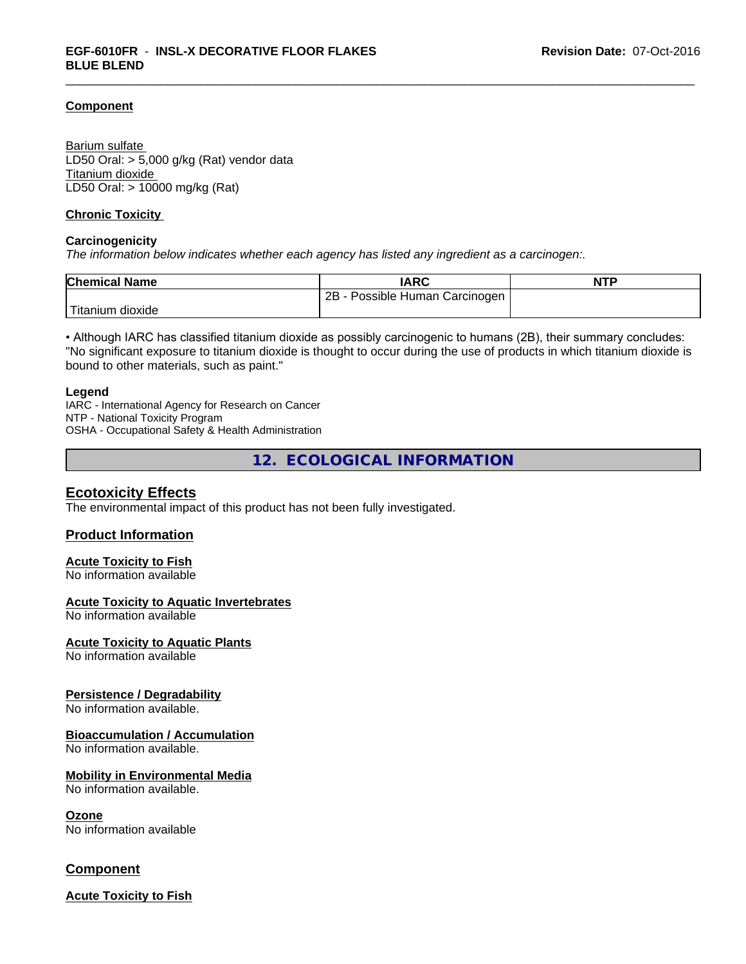#### **Component**

Barium sulfate LD50 Oral: > 5,000 g/kg (Rat) vendor data Titanium dioxide LD50 Oral: > 10000 mg/kg (Rat)

#### **Chronic Toxicity**

#### **Carcinogenicity**

*The information below indicateswhether each agency has listed any ingredient as a carcinogen:.*

| <b>Chemical Name</b> | <b>IARC</b>                     | <b>NTP</b> |
|----------------------|---------------------------------|------------|
|                      | 2Β<br>Possible Human Carcinogen |            |
| dioxide<br>Fitanium  |                                 |            |

• Although IARC has classified titanium dioxide as possibly carcinogenic to humans (2B), their summary concludes: "No significant exposure to titanium dioxide is thought to occur during the use of products in which titanium dioxide is bound to other materials, such as paint."

#### **Legend**

IARC - International Agency for Research on Cancer NTP - National Toxicity Program OSHA - Occupational Safety & Health Administration

**12. ECOLOGICAL INFORMATION**

#### **Ecotoxicity Effects**

The environmental impact of this product has not been fully investigated.

#### **Product Information**

#### **Acute Toxicity to Fish**

No information available

#### **Acute Toxicity to Aquatic Invertebrates**

No information available

#### **Acute Toxicity to Aquatic Plants**

No information available

#### **Persistence / Degradability**

No information available.

#### **Bioaccumulation / Accumulation**

No information available.

#### **Mobility in Environmental Media**

No information available.

#### **Ozone**

No information available

#### **Component**

**Acute Toxicity to Fish**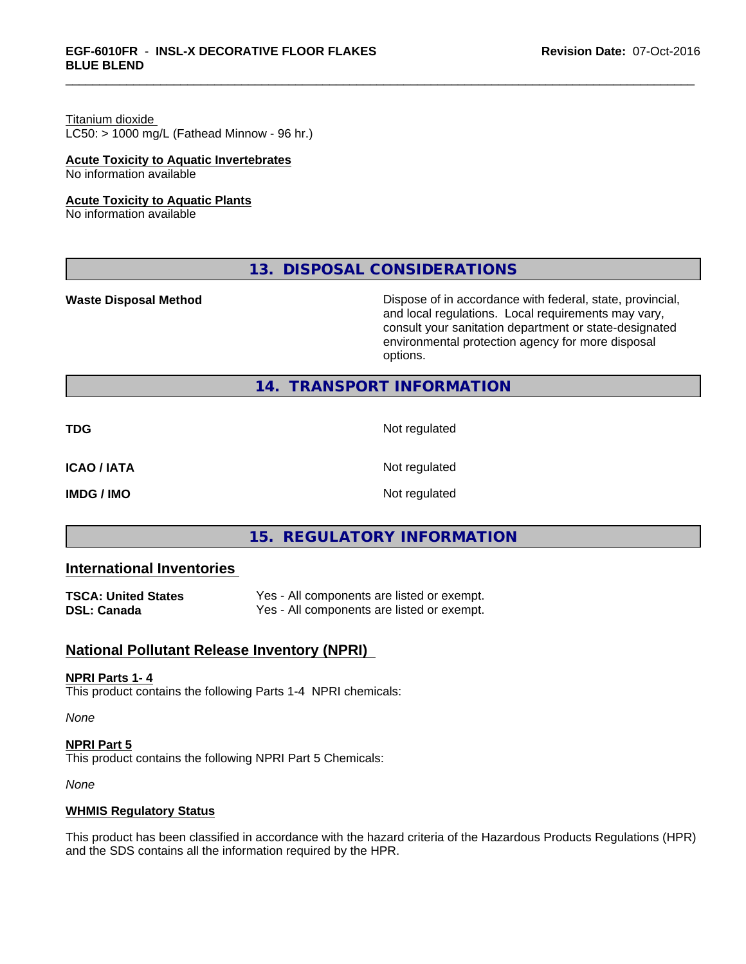# Titanium dioxide

 $LC50:$  > 1000 mg/L (Fathead Minnow - 96 hr.)

#### **Acute Toxicity to Aquatic Invertebrates**

No information available

#### **Acute Toxicity to Aquatic Plants**

No information available

# **13. DISPOSAL CONSIDERATIONS**

**Waste Disposal Method Dispose of in accordance with federal, state, provincial,** and local regulations. Local requirements may vary, consult your sanitation department or state-designated environmental protection agency for more disposal options.

# **14. TRANSPORT INFORMATION**

**TDG** Not regulated

**ICAO / IATA** Not regulated

**IMDG / IMO** Not regulated

# **15. REGULATORY INFORMATION**

# **International Inventories**

| <b>TSCA: United States</b> | Yes - All components are listed or exempt. |
|----------------------------|--------------------------------------------|
| <b>DSL: Canada</b>         | Yes - All components are listed or exempt. |

# **National Pollutant Release Inventory (NPRI)**

#### **NPRI Parts 1- 4**

This product contains the following Parts 1-4 NPRI chemicals:

*None*

**NPRI Part 5** This product contains the following NPRI Part 5 Chemicals:

*None*

#### **WHMIS Regulatory Status**

This product has been classified in accordance with the hazard criteria of the Hazardous Products Regulations (HPR) and the SDS contains all the information required by the HPR.